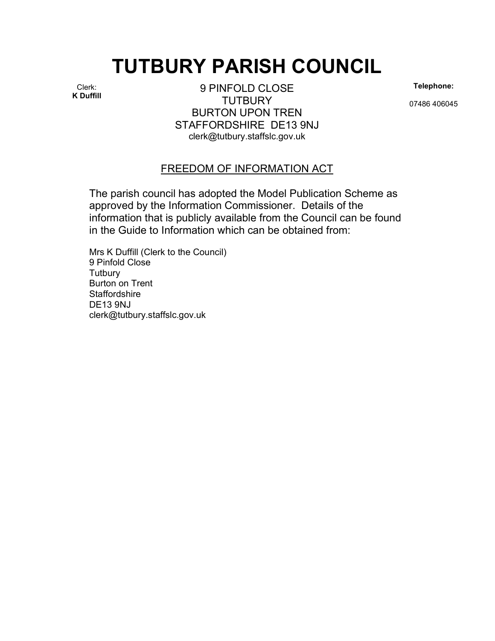## TUTBURY PARISH COUNCIL

Clerk: K Duffill

9 PINFOLD CLOSE **TUTBURY** BURTON UPON TREN STAFFORDSHIRE DE13 9NJ clerk@tutbury.staffslc.gov.uk

Telephone:

07486 406045

## FREEDOM OF INFORMATION ACT

The parish council has adopted the Model Publication Scheme as approved by the Information Commissioner. Details of the information that is publicly available from the Council can be found in the Guide to Information which can be obtained from:

Mrs K Duffill (Clerk to the Council) 9 Pinfold Close **Tutbury** Burton on Trent **Staffordshire** DE13 9NJ clerk@tutbury.staffslc.gov.uk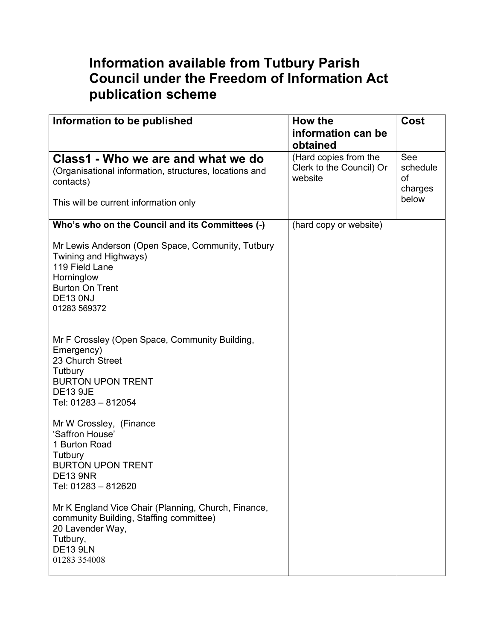## Information available from Tutbury Parish Council under the Freedom of Information Act publication scheme

| Information to be published                                                                                                                                             | How the                                                      | Cost                                      |
|-------------------------------------------------------------------------------------------------------------------------------------------------------------------------|--------------------------------------------------------------|-------------------------------------------|
|                                                                                                                                                                         | information can be                                           |                                           |
|                                                                                                                                                                         | obtained                                                     |                                           |
| Class1 - Who we are and what we do<br>(Organisational information, structures, locations and<br>contacts)<br>This will be current information only                      | (Hard copies from the<br>Clerk to the Council) Or<br>website | See<br>schedule<br>of<br>charges<br>below |
| Who's who on the Council and its Committees (-)                                                                                                                         | (hard copy or website)                                       |                                           |
| Mr Lewis Anderson (Open Space, Community, Tutbury<br>Twining and Highways)<br>119 Field Lane<br>Horninglow<br><b>Burton On Trent</b><br><b>DE13 0NJ</b><br>01283 569372 |                                                              |                                           |
| Mr F Crossley (Open Space, Community Building,<br>Emergency)<br>23 Church Street<br>Tutbury<br><b>BURTON UPON TRENT</b><br><b>DE13 9JE</b><br>Tel: 01283 - 812054       |                                                              |                                           |
| Mr W Crossley, (Finance<br>'Saffron House'<br>1 Burton Road<br>Tutbury<br><b>BURTON UPON TRENT</b><br><b>DE13 9NR</b><br>Tel: 01283 - 812620                            |                                                              |                                           |
| Mr K England Vice Chair (Planning, Church, Finance,<br>community Building, Staffing committee)<br>20 Lavender Way,<br>Tutbury,<br><b>DE13 9LN</b><br>01283 354008       |                                                              |                                           |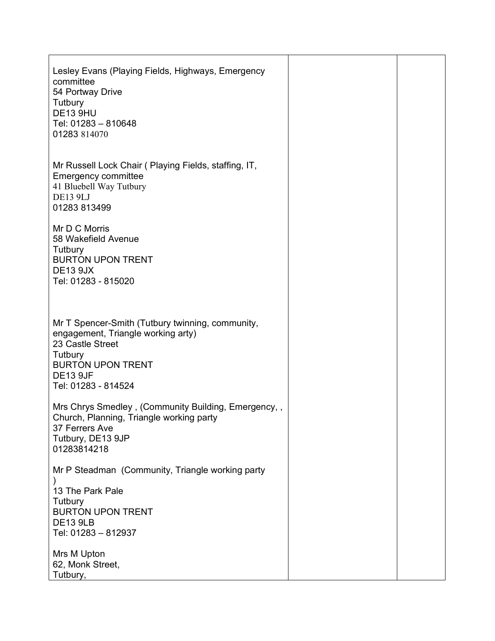| Lesley Evans (Playing Fields, Highways, Emergency<br>committee<br>54 Portway Drive<br>Tutbury<br><b>DE13 9HU</b><br>Tel: 01283 - 810648<br>01283 814070                                     |  |
|---------------------------------------------------------------------------------------------------------------------------------------------------------------------------------------------|--|
| Mr Russell Lock Chair (Playing Fields, staffing, IT,<br><b>Emergency committee</b><br>41 Bluebell Way Tutbury<br><b>DE13 9LJ</b><br>01283 813499                                            |  |
| Mr D C Morris<br>58 Wakefield Avenue<br>Tutbury<br><b>BURTON UPON TRENT</b><br><b>DE13 9JX</b><br>Tel: 01283 - 815020                                                                       |  |
| Mr T Spencer-Smith (Tutbury twinning, community,<br>engagement, Triangle working arty)<br>23 Castle Street<br>Tutbury<br><b>BURTON UPON TRENT</b><br><b>DE13 9JF</b><br>Tel: 01283 - 814524 |  |
| Mrs Chrys Smedley, (Community Building, Emergency,,<br>Church, Planning, Triangle working party<br>37 Ferrers Ave<br>Tutbury, DE13 9JP<br>01283814218                                       |  |
| Mr P Steadman (Community, Triangle working party<br>13 The Park Pale<br>Tutbury<br><b>BURTON UPON TRENT</b><br><b>DE13 9LB</b><br>Tel: 01283 - 812937                                       |  |
| Mrs M Upton<br>62, Monk Street,<br>Tutbury,                                                                                                                                                 |  |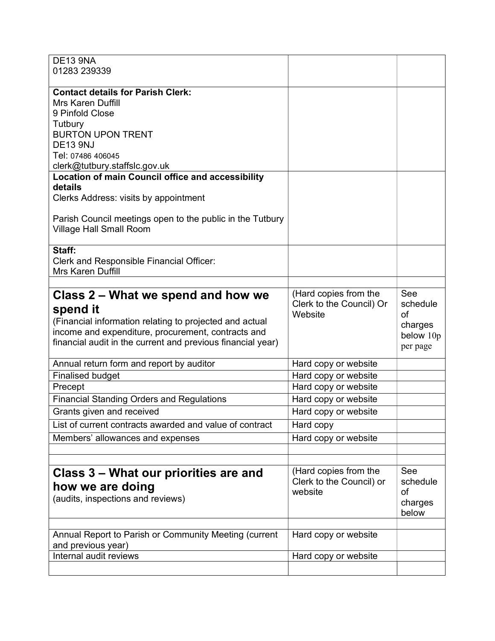| <b>DE13 9NA</b><br>01283 239339                                                             |                                                   |           |
|---------------------------------------------------------------------------------------------|---------------------------------------------------|-----------|
|                                                                                             |                                                   |           |
| <b>Contact details for Parish Clerk:</b>                                                    |                                                   |           |
| <b>Mrs Karen Duffill</b>                                                                    |                                                   |           |
| 9 Pinfold Close                                                                             |                                                   |           |
| Tutbury<br><b>BURTON UPON TRENT</b>                                                         |                                                   |           |
| <b>DE13 9NJ</b>                                                                             |                                                   |           |
| Tel: 07486 406045                                                                           |                                                   |           |
| clerk@tutbury.staffslc.gov.uk                                                               |                                                   |           |
| <b>Location of main Council office and accessibility</b>                                    |                                                   |           |
| details                                                                                     |                                                   |           |
| Clerks Address: visits by appointment                                                       |                                                   |           |
|                                                                                             |                                                   |           |
| Parish Council meetings open to the public in the Tutbury<br><b>Village Hall Small Room</b> |                                                   |           |
|                                                                                             |                                                   |           |
| Staff:                                                                                      |                                                   |           |
| Clerk and Responsible Financial Officer:                                                    |                                                   |           |
| Mrs Karen Duffill                                                                           |                                                   |           |
|                                                                                             |                                                   | See       |
| Class 2 – What we spend and how we                                                          | (Hard copies from the<br>Clerk to the Council) Or | schedule  |
| spend it                                                                                    | Website                                           | of        |
| (Financial information relating to projected and actual                                     |                                                   | charges   |
| income and expenditure, procurement, contracts and                                          |                                                   | below 10p |
| financial audit in the current and previous financial year)                                 |                                                   | per page  |
| Annual return form and report by auditor                                                    | Hard copy or website                              |           |
| <b>Finalised budget</b>                                                                     | Hard copy or website                              |           |
| Precept                                                                                     | Hard copy or website                              |           |
| <b>Financial Standing Orders and Regulations</b>                                            | Hard copy or website                              |           |
| Grants given and received                                                                   | Hard copy or website                              |           |
| List of current contracts awarded and value of contract                                     | Hard copy                                         |           |
| Members' allowances and expenses                                                            | Hard copy or website                              |           |
|                                                                                             |                                                   |           |
|                                                                                             |                                                   | See       |
| Class 3 – What our priorities are and                                                       | (Hard copies from the<br>Clerk to the Council) or | schedule  |
| how we are doing                                                                            | website                                           | оf        |
| (audits, inspections and reviews)                                                           |                                                   | charges   |
|                                                                                             |                                                   | below     |
|                                                                                             |                                                   |           |
| Annual Report to Parish or Community Meeting (current                                       | Hard copy or website                              |           |
| and previous year)                                                                          |                                                   |           |
| Internal audit reviews                                                                      | Hard copy or website                              |           |
|                                                                                             |                                                   |           |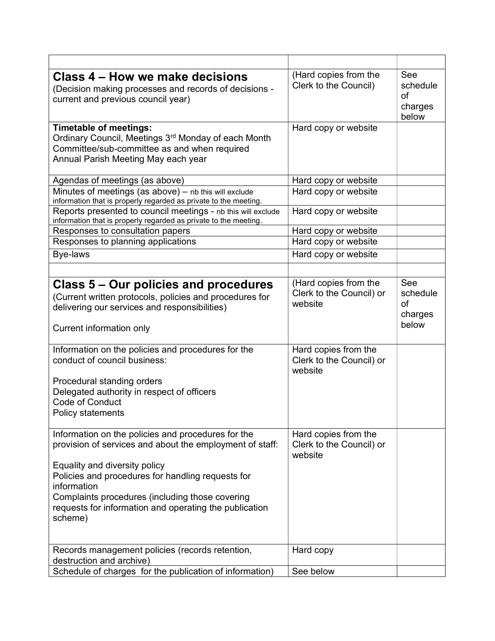| Class 4 – How we make decisions<br>(Decision making processes and records of decisions -<br>current and previous council year)                                                                                                                                                                                                              | (Hard copies from the<br>Clerk to the Council)               | See<br>schedule<br>οf<br>charges<br>below |
|---------------------------------------------------------------------------------------------------------------------------------------------------------------------------------------------------------------------------------------------------------------------------------------------------------------------------------------------|--------------------------------------------------------------|-------------------------------------------|
| <b>Timetable of meetings:</b><br>Ordinary Council, Meetings 3rd Monday of each Month<br>Committee/sub-committee as and when required<br>Annual Parish Meeting May each year                                                                                                                                                                 | Hard copy or website                                         |                                           |
| Agendas of meetings (as above)                                                                                                                                                                                                                                                                                                              | Hard copy or website                                         |                                           |
| Minutes of meetings (as above) - nb this will exclude<br>information that is properly regarded as private to the meeting.                                                                                                                                                                                                                   | Hard copy or website                                         |                                           |
| Reports presented to council meetings - nb this will exclude<br>information that is properly regarded as private to the meeting.                                                                                                                                                                                                            | Hard copy or website                                         |                                           |
| Responses to consultation papers                                                                                                                                                                                                                                                                                                            | Hard copy or website                                         |                                           |
| Responses to planning applications                                                                                                                                                                                                                                                                                                          | Hard copy or website                                         |                                           |
| Bye-laws                                                                                                                                                                                                                                                                                                                                    | Hard copy or website                                         |                                           |
|                                                                                                                                                                                                                                                                                                                                             |                                                              |                                           |
| Class 5 – Our policies and procedures<br>(Current written protocols, policies and procedures for<br>delivering our services and responsibilities)<br>Current information only                                                                                                                                                               | (Hard copies from the<br>Clerk to the Council) or<br>website | See<br>schedule<br>οf<br>charges<br>below |
| Information on the policies and procedures for the<br>conduct of council business:<br>Procedural standing orders<br>Delegated authority in respect of officers<br>Code of Conduct<br>Policy statements                                                                                                                                      | Hard copies from the<br>Clerk to the Council) or<br>website  |                                           |
| Information on the policies and procedures for the<br>provision of services and about the employment of staff:<br>Equality and diversity policy<br>Policies and procedures for handling requests for<br>information<br>Complaints procedures (including those covering<br>requests for information and operating the publication<br>scheme) | Hard copies from the<br>Clerk to the Council) or<br>website  |                                           |
| Records management policies (records retention,                                                                                                                                                                                                                                                                                             | Hard copy                                                    |                                           |
| destruction and archive)                                                                                                                                                                                                                                                                                                                    |                                                              |                                           |
| Schedule of charges for the publication of information)                                                                                                                                                                                                                                                                                     | See below                                                    |                                           |